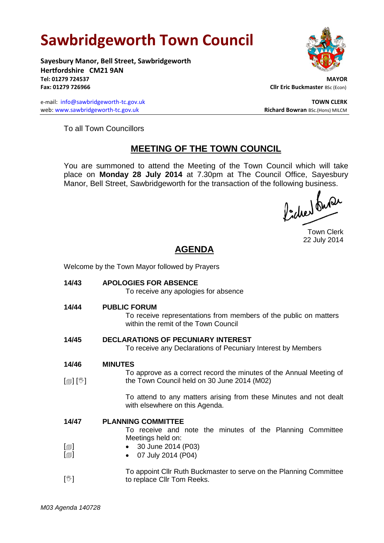## **Sawbridgeworth Town Council**

Welcome by the Town Mayor followed by Prayers

**Sayesbury Manor, Bell Street, Sawbridgeworth Hertfordshire CM21 9AN Tel: 01279 724537 MAYOR Fax: 01279 726966 Cllr Eric Buckmaster BSc (Econ)** 

e-mail: [info@sawbridgeworth-tc.gov.uk](mailto:info@sawbridgeworth-tc.gov.uk) **TOWN CLERK TOWN CLERK** web: www.sawbridgeworth-tc.gov.uk **Richard Bowran** BSc.(Hons) MILCM

To all Town Councillors

## **MEETING OF THE TOWN COUNCIL**

You are summoned to attend the Meeting of the Town Council which will take place on **Monday 28 July 2014** at 7.30pm at The Council Office, Sayesbury Manor, Bell Street, Sawbridgeworth for the transaction of the following business.<br>  $\int_{\mathbb{R}} \int_{\mathbb{R}} \mathbf{d} \mathbf{d} \mathbf{d} \mathbf{d}$ 

Town Clerk 22 July 2014

## **AGENDA**

| 14/43                                        | <b>APOLOGIES FOR ABSENCE</b><br>To receive any apologies for absence                                                                 |
|----------------------------------------------|--------------------------------------------------------------------------------------------------------------------------------------|
| 14/44                                        | <b>PUBLIC FORUM</b><br>To receive representations from members of the public on matters<br>within the remit of the Town Council      |
| 14/45                                        | <b>DECLARATIONS OF PECUNIARY INTEREST</b><br>To receive any Declarations of Pecuniary Interest by Members                            |
| 14/46<br>$\mathbb{D}[\mathbb{D}^1]$          | <b>MINUTES</b><br>To approve as a correct record the minutes of the Annual Meeting of<br>the Town Council held on 30 June 2014 (M02) |
|                                              | To attend to any matters arising from these Minutes and not dealt<br>with elsewhere on this Agenda.                                  |
| 14/47                                        | <b>PLANNING COMMITTEE</b><br>To receive and note the minutes of the Planning Committee<br>Meetings held on:                          |
| $\lbrack \oplus \rbrack$<br>$[\blacksquare]$ | 30 June 2014 (P03)<br>07 July 2014 (P04)<br>$\bullet$                                                                                |
| $\mathbb{N}$                                 | To appoint Cllr Ruth Buckmaster to serve on the Planning Committee<br>to replace Cllr Tom Reeks.                                     |